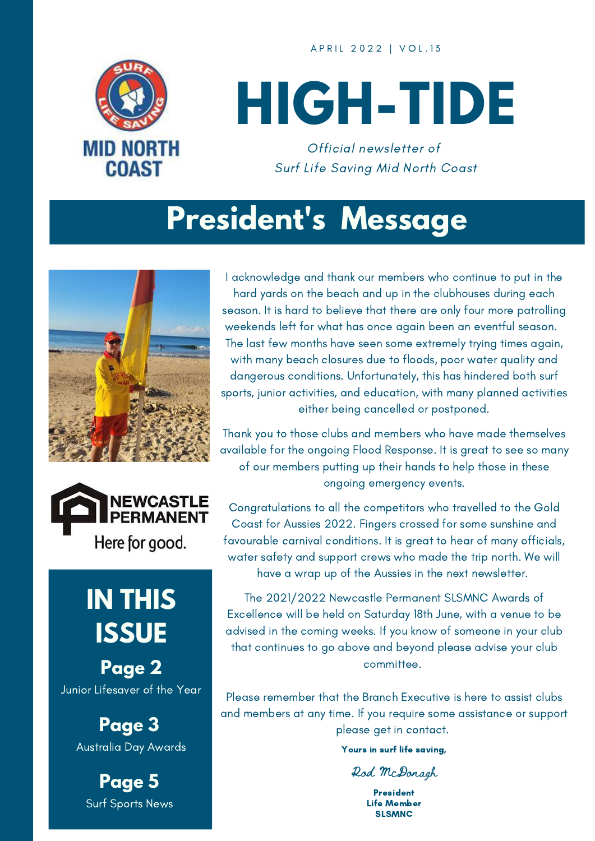A P R I L 2 0 2 2 | V O L . 1 3



# **HIGH-TIDE**

Official newsletter of Surf Life Saving Mid North Coast

#### **President's Message**





#### **IN THIS ISSUE**

**Page 2** Junior Lifesaver of the Year

> **Page 3** Australia Day Awards

**Page 5** Surf Sports News

I acknowledge and thank our members who continue to put in the hard yards on the beach and up in the clubhouses during each season. It is hard to believe that there are only four more patrolling weekends left for what has once again been an eventful season. The last few months have seen some extremely trying times again, with many beach closures due to floods, poor water quality and dangerous conditions. Unfortunately, this has hindered both surf sports, junior activities, and education, with many planned activities either being cancelled or postponed.

Thank you to those clubs and members who have made themselves available for the ongoing Flood Response. It is great to see so many of our members putting up their hands to help those in these ongoing emergency events.

Congratulations to all the competitors who travelled to the Gold Coast for Aussies 2022. Fingers crossed for some sunshine and favourable carnival conditions. It is great to hear of many officials, water safety and support crews who made the trip north. We will have a wrap up of the Aussies in the next newsletter.

The 2021/2022 Newcastle Permanent SLSMNC Awards of Excellence will be held on Saturday 18th June, with a venue to be advised in the coming weeks. If you know of someone in your club that continues to go above and beyond please advise your club committee.

Please remember that the Branch Executive is here to assist clubs and members at any time. If you require some assistance or support please get in contact.

Yours in surf life saving,

Rod McDonagh

President Life Member **SLSMNC**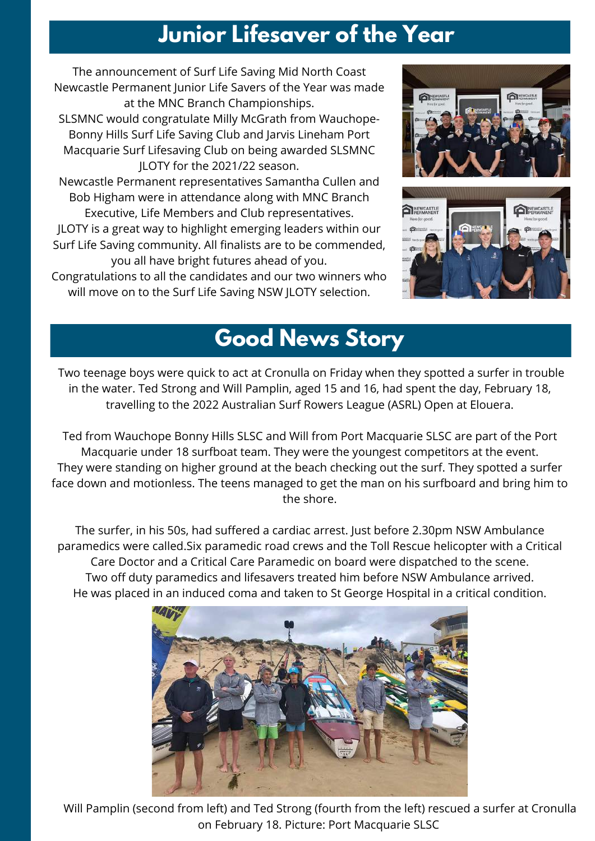#### **Junior Lifesaver of the Year**

The announcement of Surf Life Saving Mid North Coast Newcastle Permanent Junior Life Savers of the Year was made at the MNC Branch Championships.

SLSMNC would congratulate Milly McGrath from Wauchope-Bonny Hills Surf Life Saving Club and Jarvis Lineham Port Macquarie Surf Lifesaving Club on being awarded SLSMNC JLOTY for the 2021/22 season.

Newcastle Permanent representatives Samantha Cullen and Bob Higham were in attendance along with MNC Branch Executive, Life Members and Club representatives. JLOTY is a great way to highlight emerging leaders within our Surf Life Saving community. All finalists are to be commended, you all have bright futures ahead of you.

Congratulations to all the candidates and our two winners who will move on to the Surf Life Saving NSW JLOTY selection.





#### **Good News Story**

Two teenage boys were quick to act at Cronulla on Friday when they spotted a surfer in trouble in the water. Ted Strong and Will Pamplin, aged 15 and 16, had spent the day, February 18, travelling to the 2022 [Australian](https://www.theleader.com.au/story/7618388/picture-gallery-elouera-slsc-hosting-australia-surf-rowers/?cs=2627) Surf Rowers League (ASRL) Open at Elouera.

Ted from Wauchope Bonny Hills SLSC and Will from Port Macquarie SLSC are part of the Port Macquarie under 18 surfboat team. They were the youngest competitors at the event. They were standing on higher ground at the beach checking out the surf. They spotted a surfer face down and motionless. The teens managed to get the man on his surfboard and bring him to the shore.

The surfer, in his 50s, had suffered a cardiac arrest. Just before 2.30pm NSW Ambulance paramedics were called.Six paramedic road crews and the Toll Rescue helicopter with a Critical Care Doctor and a Critical Care Paramedic on board were dispatched to the scene. Two off duty paramedics and lifesavers treated him before NSW Ambulance arrived. He was placed in an induced coma and taken to St George Hospital in a critical condition.



Will Pamplin (second from left) and Ted Strong (fourth from the left) rescued a surfer at Cronulla on February 18. Picture: Port Macquarie SLSC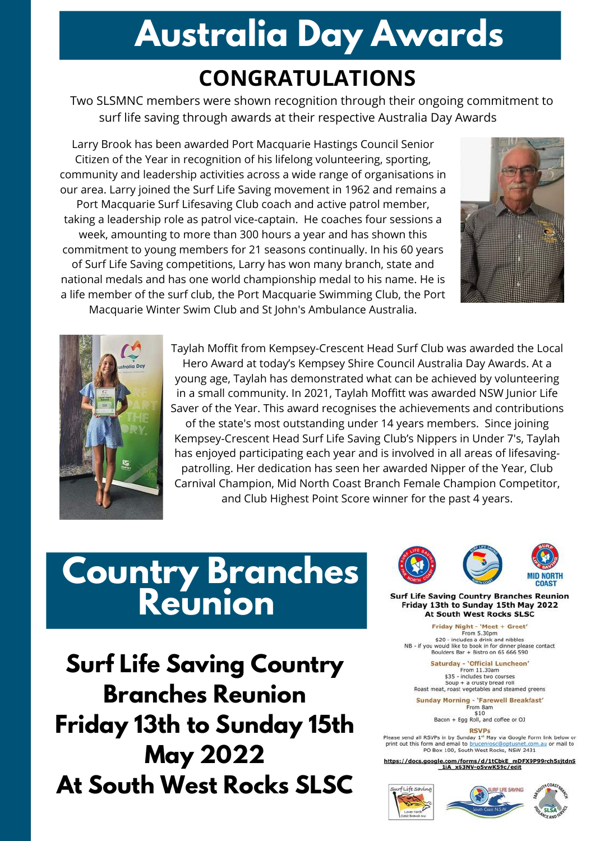## **Australia Day Awards**

#### **CONGRATULATIONS**

Two SLSMNC members were shown recognition through their ongoing commitment to surf life saving through awards at their respective Australia Day Awards

Larry Brook has been awarded Port Macquarie Hastings Council Senior Citizen of the Year in recognition of his lifelong volunteering, sporting, community and leadership activities across a wide range of organisations in our area. Larry joined the Surf Life Saving movement in 1962 and remains a Port Macquarie Surf Lifesaving Club coach and active patrol member, taking a leadership role as patrol vice-captain. He coaches four sessions a week, amounting to more than 300 hours a year and has shown this commitment to young members for 21 seasons continually. In his 60 years of Surf Life Saving competitions, Larry has won many branch, state and national medals and has one world championship medal to his name. He is a life member of the surf club, the Port Macquarie Swimming Club, the Port Macquarie Winter Swim Club and St John's Ambulance Australia.





Taylah Moffit from Kempsey-Crescent Head Surf Club was awarded the Local Hero Award at today's Kempsey Shire Council Australia Day Awards. At a young age, Taylah has demonstrated what can be achieved by volunteering in a small community. In 2021, Taylah Moffitt was awarded NSW Junior Life Saver of the Year. This award recognises the achievements and contributions of the state's most outstanding under 14 years members. Since joining Kempsey-Crescent Head Surf Life Saving Club's Nippers in Under 7's, Taylah has enjoyed participating each year and is involved in all areas of lifesavingpatrolling. Her dedication has seen her awarded Nipper of the Year, Club Carnival Champion, Mid North Coast Branch Female Champion Competitor, and Club Highest Point Score winner for the past 4 years.

#### **Country Branches Reunion**

**Surf Life Saving Country Branches Reunion Friday 13th to Sunday 15th May 2022 At South West Rocks SLSC**



**Surf Life Saving Country Branches Reunion** Friday 13th to Sunday 15th May 2022 **At South West Rocks SLSC** 

Friday Night - 'Meet + Greet' From 5.30pm<br>\$20 - includes a drink and nibbles<br>NB - if you would like to book in for dinner please contact<br>Boulders Bar + Bistro on 65 666 590

Saturday - 'Official Luncheon' From 11.30am Soup + a crusty bread roll<br>Roast meat, roast vegetables and steamed greens

**Sunday Morning - 'Farewell Breakfast'** From 8am  $$10$ 

\$10<br>Bacon + Egg Roll, and coffee or OJ **RSVPs** 

Please send all RSVPs in by Sunday 1st May via Google Form link below or print out this form and email to brucenro: m.au or mail to PO Box 100, South West Rocks, NSW 2431

https://docs.google.com/forms/d/1tCbkE\_mDFX9P99rch5sitdnS 1iA x63NV-o5vwK59c/edit





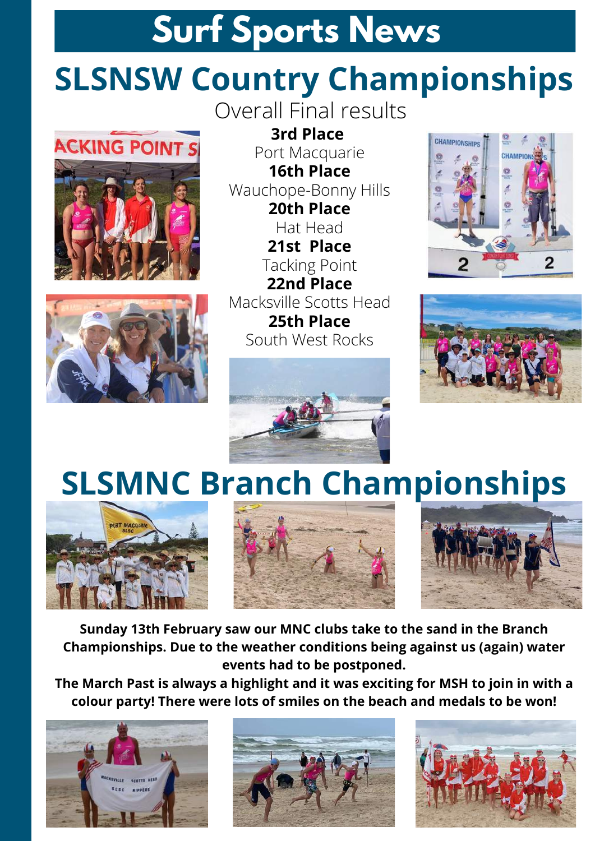### **Surf Sports News**

### **SLSNSW Country Championships**

**ACKING POINT S** 





Overall Final results

**3rd Place** Port Macquarie **16th Place** Wauchope-Bonny Hills **20th Place** Hat Head **21st Place** Tacking Point **22nd Place** Macksville Scotts Head **25th Place** South West Rocks







## **SLSMNC Branch Championships**







**Sunday 13th February saw our MNC clubs take to the sand in the Branch Championships. Due to the weather conditions being against us (again) water events had to be postponed.**

**The March Past is always a highlight and it was exciting for MSH to join in with a colour party! There were lots of smiles on the beach and medals to be won!**